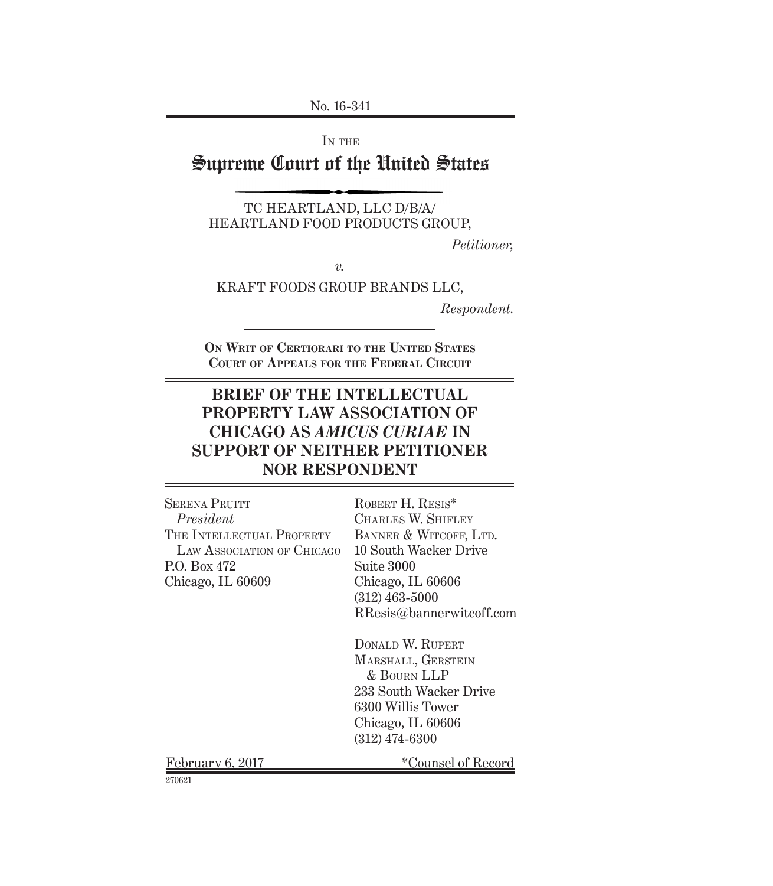No. 16-341

IN THE

# Supreme Court of the United States

TC HEARTLAND, LLC D/B/A/ HEARTLAND FOOD PRODUCTS GROUP,

*Petitioner,*

*v.*

KRAFT FOODS GROUP BRANDS LLC,

*Respondent.*

**On Writ of Certiorari to the United States Court of Appeals for the Federal Circuit**

# **BRIEF OF THE INTELLECTUAL PROPERTY LAW ASSOCIATION OF CHICAGO AS** *AMICUS CURIAE* **IN SUPPORT OF NEITHER PETITIONER NOR RESPONDENT**

| <b>SERENA PRUITT</b>       | ROBERT H. RESIS*         |
|----------------------------|--------------------------|
| President                  | CHARLES W. SHIFLEY       |
| THE INTELLECTUAL PROPERTY  | BANNER & WITCOFF, LTD.   |
| LAW ASSOCIATION OF CHICAGO | 10 South Wacker Drive    |
| P.O. Box 472               | Suite 3000               |
| Chicago, IL 60609          | Chicago, IL 60606        |
|                            | $(312)$ 463-5000         |
|                            | RResis@bannerwitcoff.com |
|                            | DONALD W. RUPERT         |
|                            | MARSHALL, GERSTEIN       |
|                            | & BOURN LLP              |
|                            | 233 South Wacker Drive   |
|                            | 6300 Willis Tower        |
|                            | Chicago, IL 60606        |
|                            | $(312)$ 474-6300         |
| February 6, 2017           | *Counsel of Record       |
| 270621                     |                          |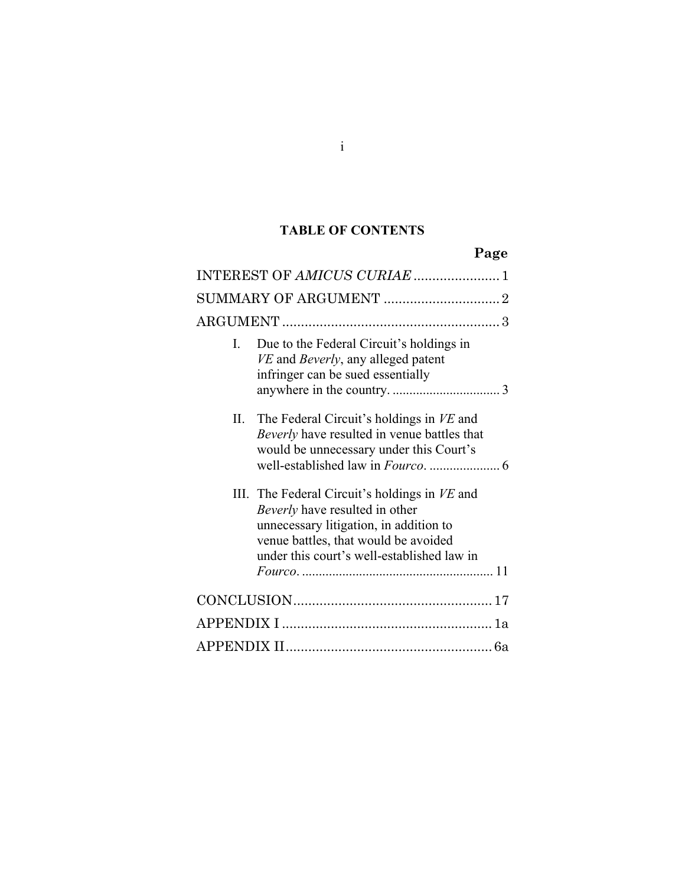# **TABLE OF CONTENTS**

**Page** 

|    | INTEREST OF AMICUS CURIAE  1                                                                                                                                                                                    |
|----|-----------------------------------------------------------------------------------------------------------------------------------------------------------------------------------------------------------------|
|    |                                                                                                                                                                                                                 |
|    |                                                                                                                                                                                                                 |
| L  | Due to the Federal Circuit's holdings in<br>VE and Beverly, any alleged patent<br>infringer can be sued essentially                                                                                             |
| П. | The Federal Circuit's holdings in VE and<br>Beverly have resulted in venue battles that<br>would be unnecessary under this Court's                                                                              |
|    | III. The Federal Circuit's holdings in VE and<br>Beverly have resulted in other<br>unnecessary litigation, in addition to<br>venue battles, that would be avoided<br>under this court's well-established law in |
|    |                                                                                                                                                                                                                 |
|    |                                                                                                                                                                                                                 |
|    |                                                                                                                                                                                                                 |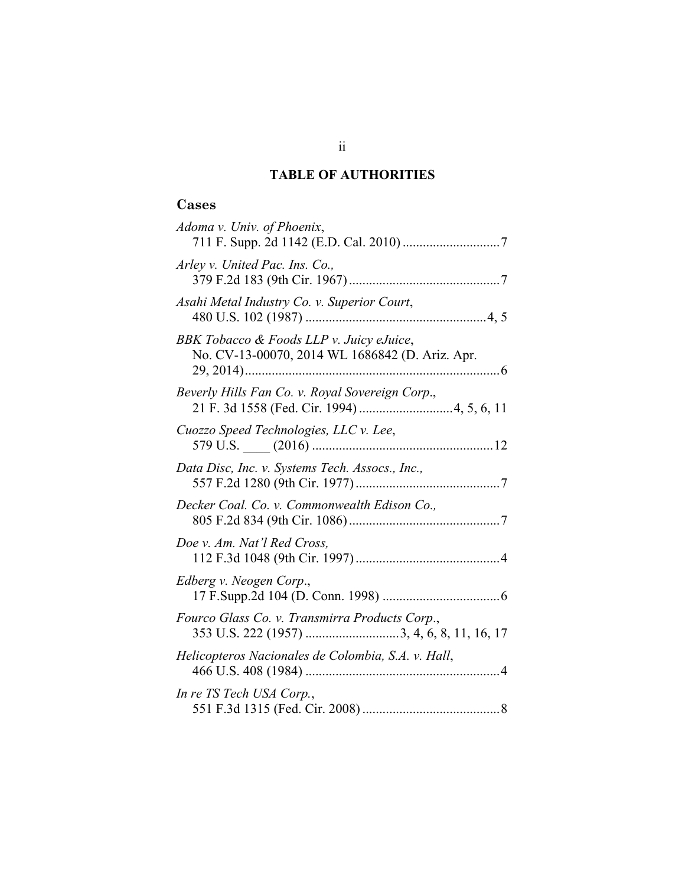# **TABLE OF AUTHORITIES**

# **Cases**

| Adoma v. Univ. of Phoenix,                                                                   |
|----------------------------------------------------------------------------------------------|
| Arley v. United Pac. Ins. Co.,                                                               |
| Asahi Metal Industry Co. v. Superior Court,                                                  |
| BBK Tobacco & Foods LLP v. Juicy eJuice,<br>No. CV-13-00070, 2014 WL 1686842 (D. Ariz. Apr.  |
| Beverly Hills Fan Co. v. Royal Sovereign Corp.,                                              |
| Cuozzo Speed Technologies, LLC v. Lee,                                                       |
| Data Disc, Inc. v. Systems Tech. Assocs., Inc.,                                              |
| Decker Coal. Co. v. Commonwealth Edison Co.,                                                 |
| Doe v. Am. Nat'l Red Cross,                                                                  |
| Edberg v. Neogen Corp.,                                                                      |
| Fourco Glass Co. v. Transmirra Products Corp.,<br>353 U.S. 222 (1957) 3, 4, 6, 8, 11, 16, 17 |
| Helicopteros Nacionales de Colombia, S.A. v. Hall,                                           |
| In re TS Tech USA Corp.,                                                                     |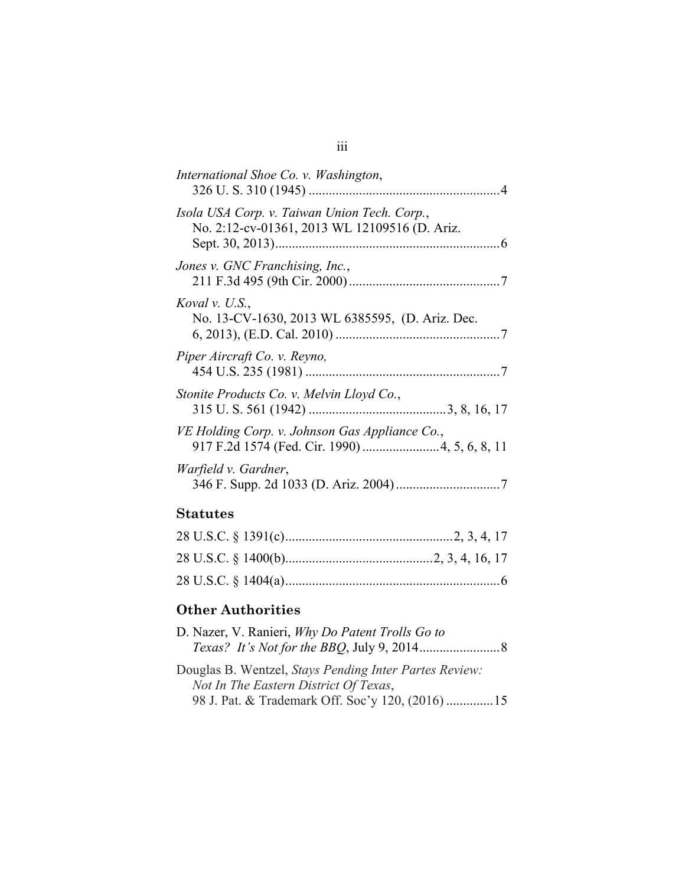| International Shoe Co. v. Washington,                                                         |
|-----------------------------------------------------------------------------------------------|
| Isola USA Corp. v. Taiwan Union Tech. Corp.,<br>No. 2:12-cv-01361, 2013 WL 12109516 (D. Ariz. |
| Jones v. GNC Franchising, Inc.,                                                               |
| Koval v. U.S.,<br>No. 13-CV-1630, 2013 WL 6385595, (D. Ariz. Dec.                             |
| Piper Aircraft Co. v. Reyno,                                                                  |
| Stonite Products Co. v. Melvin Lloyd Co.,                                                     |
| VE Holding Corp. v. Johnson Gas Appliance Co.,                                                |
| Warfield v. Gardner,                                                                          |
| Statutes                                                                                      |

### **Statutes**

# **Other Authorities**

| D. Nazer, V. Ranieri, Why Do Patent Trolls Go to       |
|--------------------------------------------------------|
|                                                        |
| Douglas B. Wentzel, Stays Pending Inter Partes Review: |
| Not In The Eastern District Of Texas,                  |
| 98 J. Pat. & Trademark Off. Soc'y 120, (2016)  15      |

## iii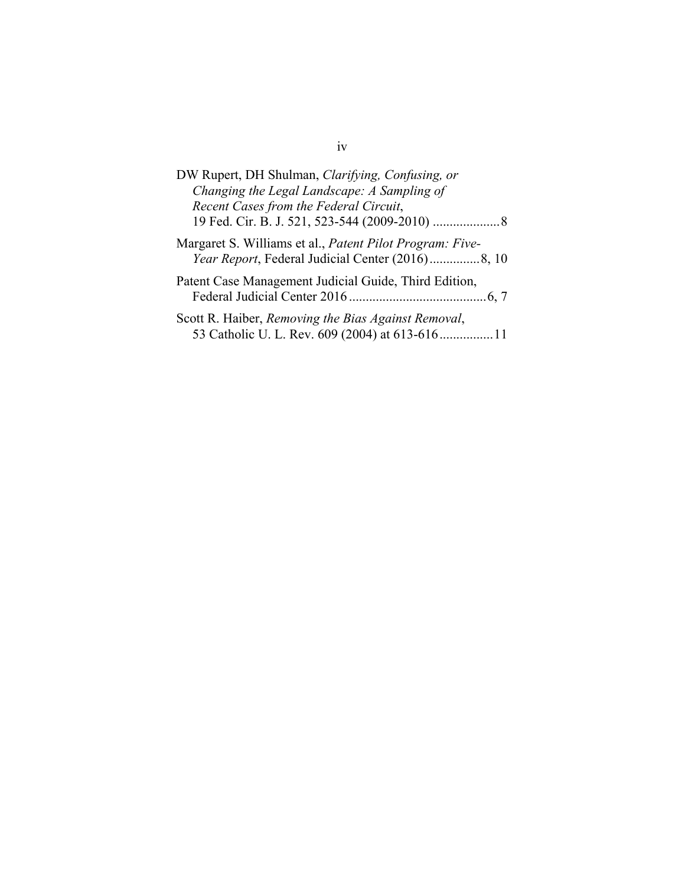| DW Rupert, DH Shulman, Clarifying, Confusing, or<br>Changing the Legal Landscape: A Sampling of<br>Recent Cases from the Federal Circuit, |
|-------------------------------------------------------------------------------------------------------------------------------------------|
| Margaret S. Williams et al., Patent Pilot Program: Five-                                                                                  |
| Patent Case Management Judicial Guide, Third Edition,                                                                                     |
| Scott R. Haiber, Removing the Bias Against Removal,<br>53 Catholic U. L. Rev. 609 (2004) at 613-616 11                                    |

### iv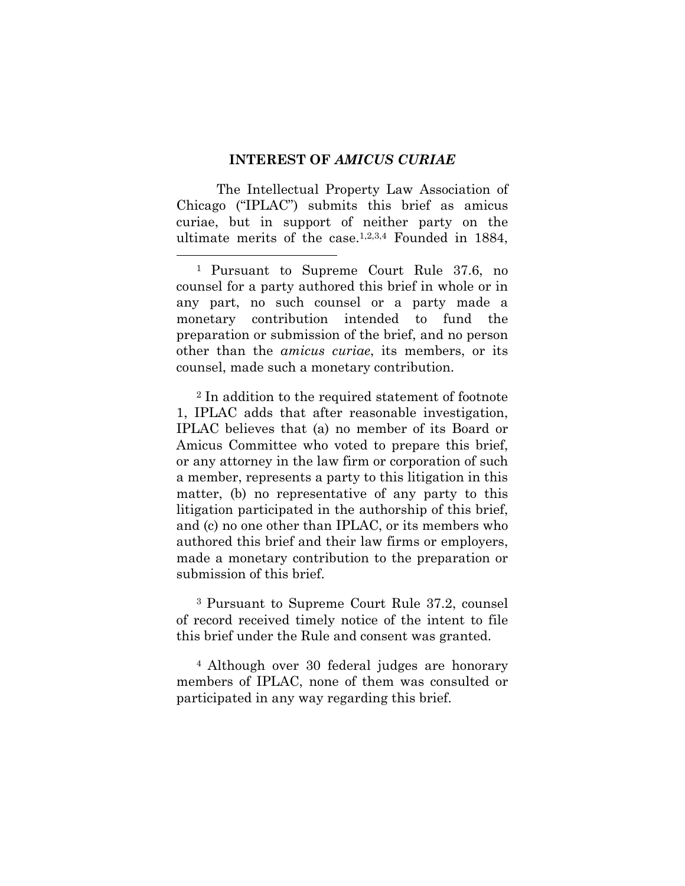#### **INTEREST OF** *AMICUS CURIAE*

The Intellectual Property Law Association of Chicago ("IPLAC") submits this brief as amicus curiae, but in support of neither party on the ultimate merits of the case.1,2,3,4 Founded in 1884,

<sup>2</sup> In addition to the required statement of footnote 1, IPLAC adds that after reasonable investigation, IPLAC believes that (a) no member of its Board or Amicus Committee who voted to prepare this brief, or any attorney in the law firm or corporation of such a member, represents a party to this litigation in this matter, (b) no representative of any party to this litigation participated in the authorship of this brief, and (c) no one other than IPLAC, or its members who authored this brief and their law firms or employers, made a monetary contribution to the preparation or submission of this brief.

<sup>3</sup> Pursuant to Supreme Court Rule 37.2, counsel of record received timely notice of the intent to file this brief under the Rule and consent was granted.

<sup>4</sup> Although over 30 federal judges are honorary members of IPLAC, none of them was consulted or participated in any way regarding this brief.

 <sup>1</sup> Pursuant to Supreme Court Rule 37.6, no counsel for a party authored this brief in whole or in any part, no such counsel or a party made a monetary contribution intended to fund the preparation or submission of the brief, and no person other than the *amicus curiae*, its members, or its counsel, made such a monetary contribution.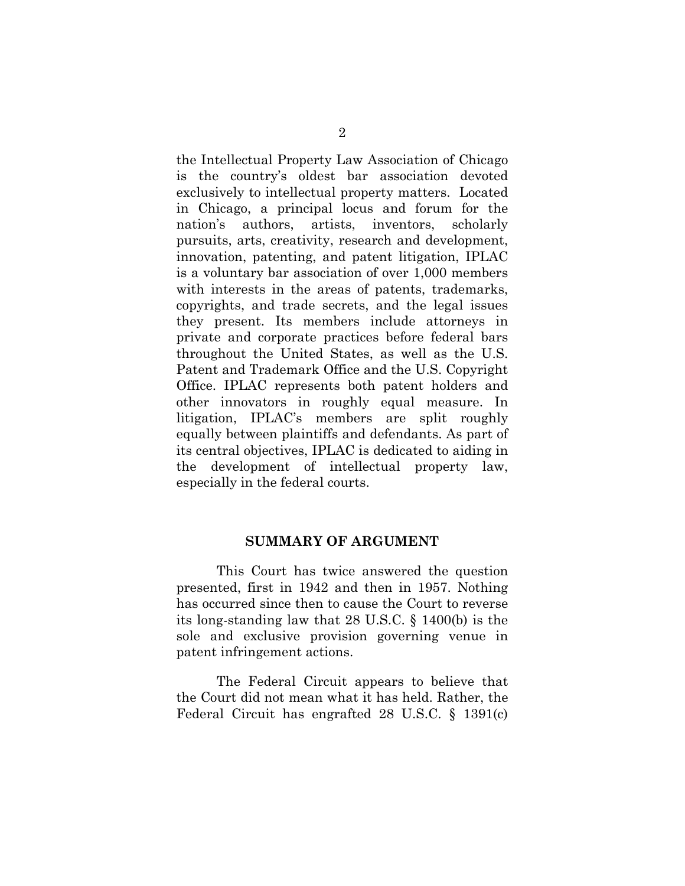the Intellectual Property Law Association of Chicago is the country's oldest bar association devoted exclusively to intellectual property matters. Located in Chicago, a principal locus and forum for the nation's authors, artists, inventors, scholarly pursuits, arts, creativity, research and development, innovation, patenting, and patent litigation, IPLAC is a voluntary bar association of over 1,000 members with interests in the areas of patents, trademarks, copyrights, and trade secrets, and the legal issues they present. Its members include attorneys in private and corporate practices before federal bars throughout the United States, as well as the U.S. Patent and Trademark Office and the U.S. Copyright Office. IPLAC represents both patent holders and other innovators in roughly equal measure. In litigation, IPLAC's members are split roughly equally between plaintiffs and defendants. As part of its central objectives, IPLAC is dedicated to aiding in the development of intellectual property law, especially in the federal courts.

#### **SUMMARY OF ARGUMENT**

This Court has twice answered the question presented, first in 1942 and then in 1957. Nothing has occurred since then to cause the Court to reverse its long-standing law that 28 U.S.C. § 1400(b) is the sole and exclusive provision governing venue in patent infringement actions.

The Federal Circuit appears to believe that the Court did not mean what it has held. Rather, the Federal Circuit has engrafted 28 U.S.C. § 1391(c)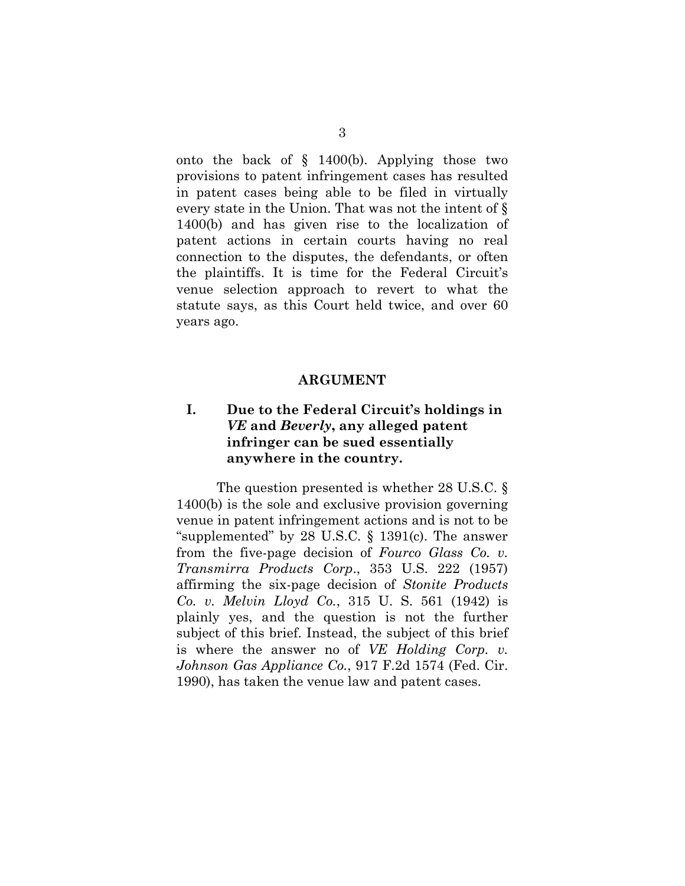onto the back of § 1400(b). Applying those two provisions to patent infringement cases has resulted in patent cases being able to be filed in virtually every state in the Union. That was not the intent of § 1400(b) and has given rise to the localization of patent actions in certain courts having no real connection to the disputes, the defendants, or often the plaintiffs. It is time for the Federal Circuit's venue selection approach to revert to what the statute says, as this Court held twice, and over 60 years ago.

#### **ARGUMENT**

### **I. Due to the Federal Circuit's holdings in**  *VE* **and** *Beverly***, any alleged patent infringer can be sued essentially anywhere in the country.**

The question presented is whether 28 U.S.C. § 1400(b) is the sole and exclusive provision governing venue in patent infringement actions and is not to be "supplemented" by 28 U.S.C. § 1391(c). The answer from the five-page decision of *Fourco Glass Co. v. Transmirra Products Corp*., 353 U.S. 222 (1957) affirming the six-page decision of *Stonite Products Co. v. Melvin Lloyd Co.*, 315 U. S. 561 (1942) is plainly yes, and the question is not the further subject of this brief. Instead, the subject of this brief is where the answer no of *VE Holding Corp. v. Johnson Gas Appliance Co.*, 917 F.2d 1574 (Fed. Cir. 1990), has taken the venue law and patent cases.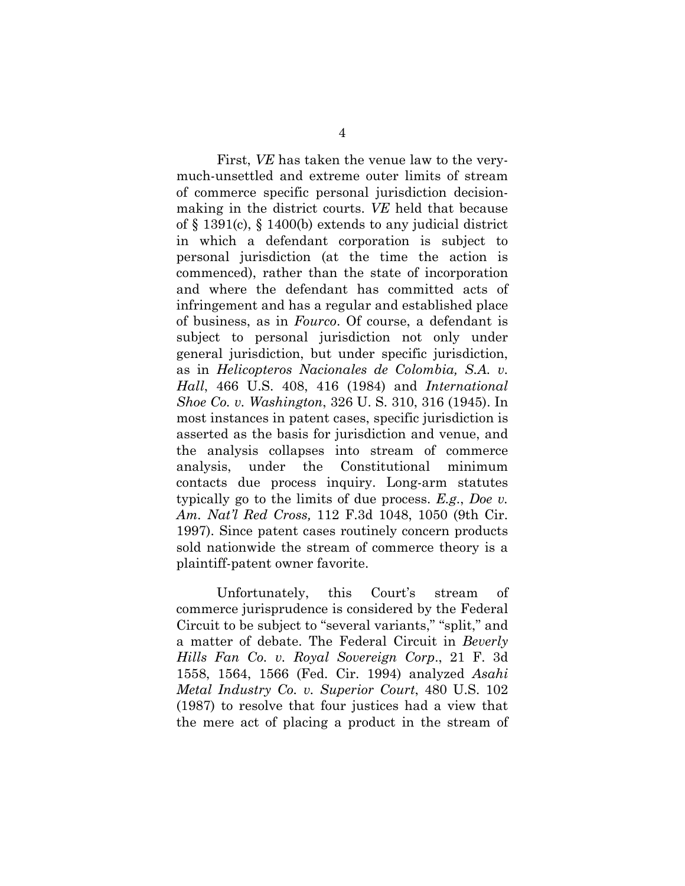First, *VE* has taken the venue law to the verymuch-unsettled and extreme outer limits of stream of commerce specific personal jurisdiction decisionmaking in the district courts. *VE* held that because of § 1391(c), § 1400(b) extends to any judicial district in which a defendant corporation is subject to personal jurisdiction (at the time the action is commenced), rather than the state of incorporation and where the defendant has committed acts of infringement and has a regular and established place of business, as in *Fourco*. Of course, a defendant is subject to personal jurisdiction not only under general jurisdiction, but under specific jurisdiction, as in *Helicopteros Nacionales de Colombia, S.A. v. Hall*, 466 U.S. 408, 416 (1984) and *International Shoe Co. v. Washington*, 326 U. S. 310, 316 (1945). In most instances in patent cases, specific jurisdiction is asserted as the basis for jurisdiction and venue, and the analysis collapses into stream of commerce analysis, under the Constitutional minimum contacts due process inquiry. Long-arm statutes typically go to the limits of due process. *E.g*., *Doe v. Am. Nat'l Red Cross,* 112 F.3d 1048, 1050 (9th Cir. 1997). Since patent cases routinely concern products sold nationwide the stream of commerce theory is a plaintiff-patent owner favorite.

Unfortunately, this Court's stream of commerce jurisprudence is considered by the Federal Circuit to be subject to "several variants," "split," and a matter of debate. The Federal Circuit in *Beverly Hills Fan Co. v. Royal Sovereign Corp*., 21 F. 3d 1558, 1564, 1566 (Fed. Cir. 1994) analyzed *Asahi Metal Industry Co. v. Superior Court*, 480 U.S. 102 (1987) to resolve that four justices had a view that the mere act of placing a product in the stream of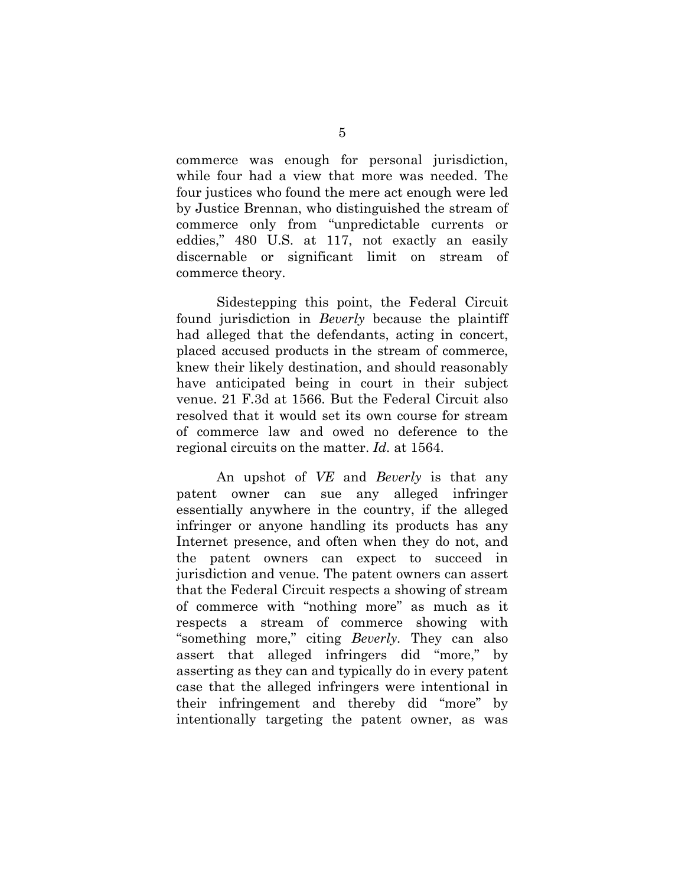commerce was enough for personal jurisdiction, while four had a view that more was needed. The four justices who found the mere act enough were led by Justice Brennan, who distinguished the stream of commerce only from "unpredictable currents or eddies," 480 U.S. at 117, not exactly an easily discernable or significant limit on stream of commerce theory.

Sidestepping this point, the Federal Circuit found jurisdiction in *Beverly* because the plaintiff had alleged that the defendants, acting in concert, placed accused products in the stream of commerce, knew their likely destination, and should reasonably have anticipated being in court in their subject venue. 21 F.3d at 1566. But the Federal Circuit also resolved that it would set its own course for stream of commerce law and owed no deference to the regional circuits on the matter. *Id.* at 1564.

An upshot of *VE* and *Beverly* is that any patent owner can sue any alleged infringer essentially anywhere in the country, if the alleged infringer or anyone handling its products has any Internet presence, and often when they do not, and the patent owners can expect to succeed in jurisdiction and venue. The patent owners can assert that the Federal Circuit respects a showing of stream of commerce with "nothing more" as much as it respects a stream of commerce showing with "something more," citing *Beverly.* They can also assert that alleged infringers did "more," by asserting as they can and typically do in every patent case that the alleged infringers were intentional in their infringement and thereby did "more" by intentionally targeting the patent owner, as was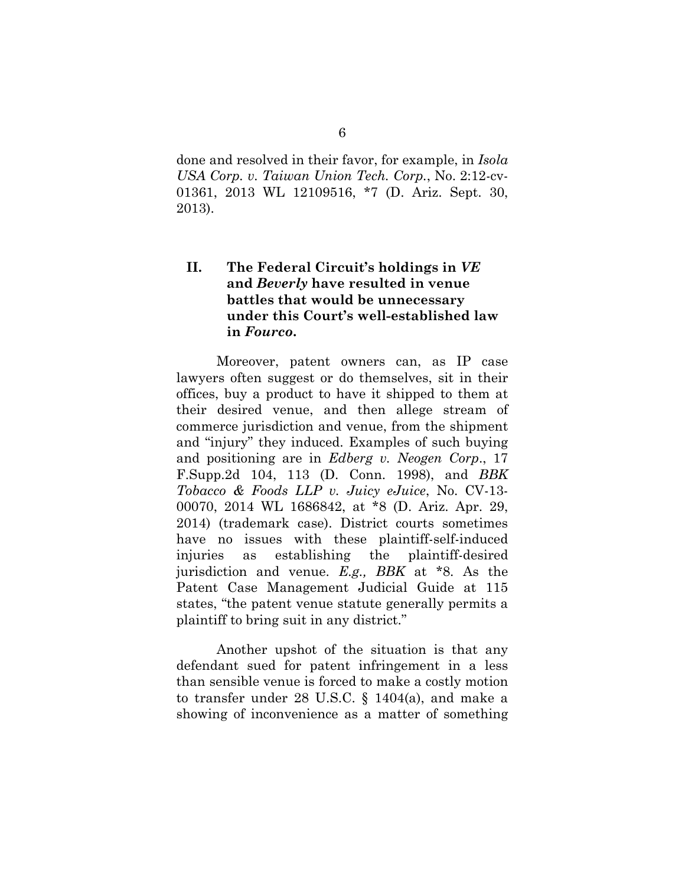done and resolved in their favor, for example, in *Isola USA Corp. v. Taiwan Union Tech. Corp.*, No. 2:12-cv-01361, 2013 WL 12109516, \*7 (D. Ariz. Sept. 30, 2013).

### **II. The Federal Circuit's holdings in** *VE* **and** *Beverly* **have resulted in venue battles that would be unnecessary under this Court's well-established law in** *Fourco***.**

Moreover, patent owners can, as IP case lawyers often suggest or do themselves, sit in their offices, buy a product to have it shipped to them at their desired venue, and then allege stream of commerce jurisdiction and venue, from the shipment and "injury" they induced. Examples of such buying and positioning are in *Edberg v. Neogen Corp*., 17 F.Supp.2d 104, 113 (D. Conn. 1998), and *BBK Tobacco & Foods LLP v. Juicy eJuice*, No. CV-13- 00070, 2014 WL 1686842, at \*8 (D. Ariz. Apr. 29, 2014) (trademark case). District courts sometimes have no issues with these plaintiff-self-induced injuries as establishing the plaintiff-desired jurisdiction and venue. *E.g., BBK* at \*8. As the Patent Case Management Judicial Guide at 115 states, "the patent venue statute generally permits a plaintiff to bring suit in any district."

Another upshot of the situation is that any defendant sued for patent infringement in a less than sensible venue is forced to make a costly motion to transfer under 28 U.S.C. § 1404(a), and make a showing of inconvenience as a matter of something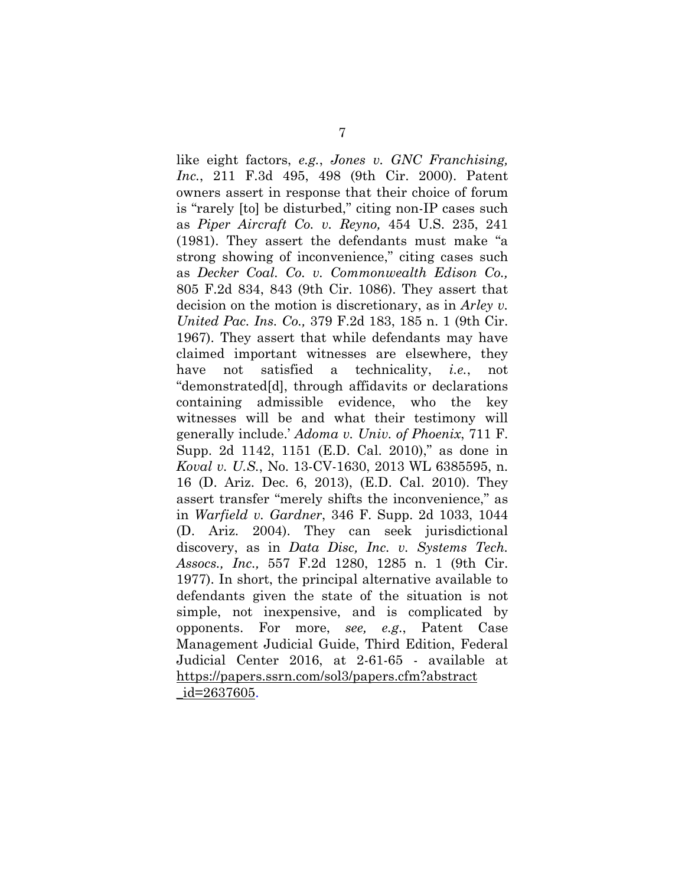like eight factors, *e.g.*, *Jones v. GNC Franchising, Inc.*, 211 F.3d 495, 498 (9th Cir. 2000). Patent owners assert in response that their choice of forum is "rarely [to] be disturbed," citing non-IP cases such as *Piper Aircraft Co. v. Reyno,* 454 U.S. 235, 241 (1981). They assert the defendants must make "a strong showing of inconvenience," citing cases such as *Decker Coal. Co. v. Commonwealth Edison Co.,*  805 F.2d 834, 843 (9th Cir. 1086). They assert that decision on the motion is discretionary, as in *Arley v. United Pac. Ins. Co.,* 379 F.2d 183, 185 n. 1 (9th Cir. 1967). They assert that while defendants may have claimed important witnesses are elsewhere, they have not satisfied a technicality, *i.e.*, not "demonstrated[d], through affidavits or declarations containing admissible evidence, who the key witnesses will be and what their testimony will generally include.' *Adoma v. Univ. of Phoenix*, 711 F. Supp. 2d 1142, 1151 (E.D. Cal. 2010)," as done in *Koval v. U.S.*, No. 13-CV-1630, 2013 WL 6385595, n. 16 (D. Ariz. Dec. 6, 2013), (E.D. Cal. 2010). They assert transfer "merely shifts the inconvenience," as in *Warfield v. Gardner*, 346 F. Supp. 2d 1033, 1044 (D. Ariz. 2004). They can seek jurisdictional discovery, as in *Data Disc, Inc. v. Systems Tech. Assocs., Inc.,* 557 F.2d 1280, 1285 n. 1 (9th Cir. 1977). In short, the principal alternative available to defendants given the state of the situation is not simple, not inexpensive, and is complicated by opponents. For more, *see, e.g*., Patent Case Management Judicial Guide, Third Edition, Federal Judicial Center 2016, at 2-61-65 - available at https://papers.ssrn.com/sol3/papers.cfm?abstract \_id=2637605.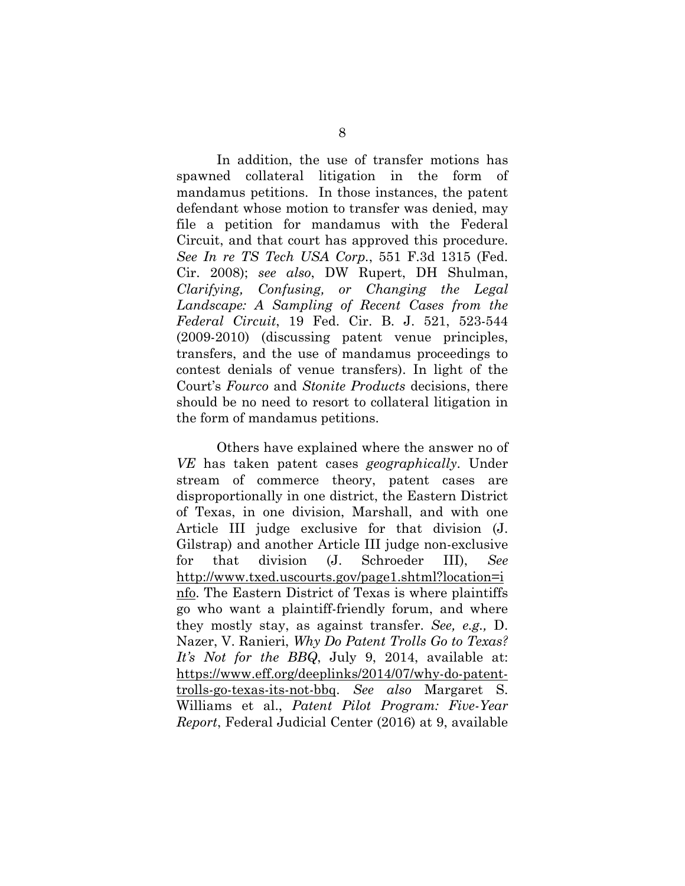In addition, the use of transfer motions has spawned collateral litigation in the form of mandamus petitions. In those instances, the patent defendant whose motion to transfer was denied, may file a petition for mandamus with the Federal Circuit, and that court has approved this procedure. *See In re TS Tech USA Corp.*, 551 F.3d 1315 (Fed. Cir. 2008); *see also*, DW Rupert, DH Shulman, *Clarifying, Confusing, or Changing the Legal Landscape: A Sampling of Recent Cases from the Federal Circuit*, 19 Fed. Cir. B. J. 521, 523-544 (2009-2010) (discussing patent venue principles, transfers, and the use of mandamus proceedings to contest denials of venue transfers). In light of the Court's *Fourco* and *Stonite Products* decisions, there should be no need to resort to collateral litigation in the form of mandamus petitions.

Others have explained where the answer no of *VE* has taken patent cases *geographically*. Under stream of commerce theory, patent cases are disproportionally in one district, the Eastern District of Texas, in one division, Marshall, and with one Article III judge exclusive for that division (J. Gilstrap) and another Article III judge non-exclusive for that division (J. Schroeder III), *See*  http://www.txed.uscourts.gov/page1.shtml?location=i nfo. The Eastern District of Texas is where plaintiffs go who want a plaintiff-friendly forum, and where they mostly stay, as against transfer. *See, e.g.,* D. Nazer, V. Ranieri, *Why Do Patent Trolls Go to Texas? It's Not for the BBQ*, July 9, 2014, available at: https://www.eff.org/deeplinks/2014/07/why-do-patenttrolls-go-texas-its-not-bbq. *See also* Margaret S. Williams et al., *Patent Pilot Program: Five-Year Report*, Federal Judicial Center (2016) at 9, available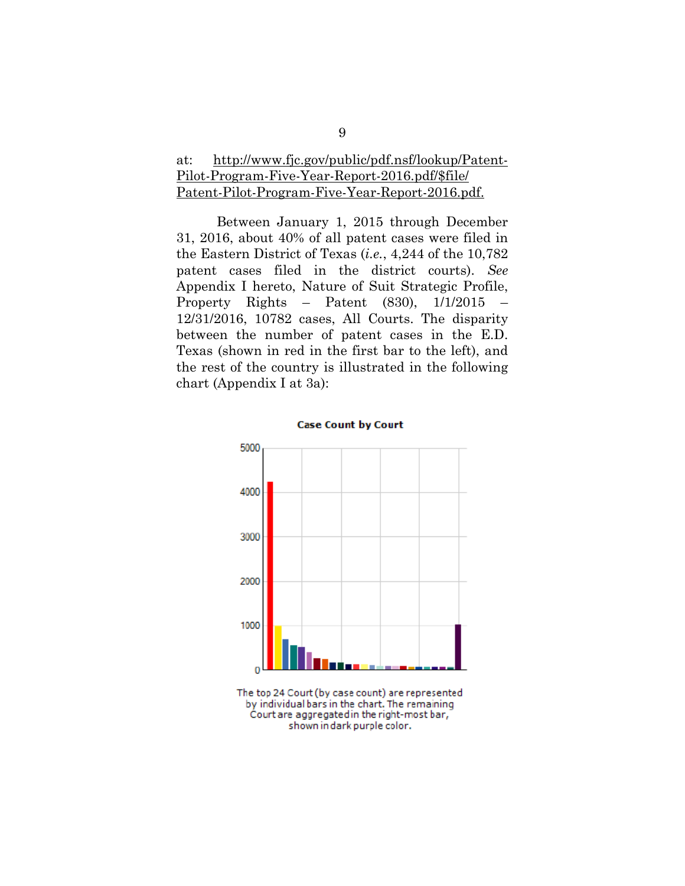### at: http://www.fjc.gov/public/pdf.nsf/lookup/Patent-Pilot-Program-Five-Year-Report-2016.pdf/\$file/ Patent-Pilot-Program-Five-Year-Report-2016.pdf.

Between January 1, 2015 through December 31, 2016, about 40% of all patent cases were filed in the Eastern District of Texas (*i.e.*, 4,244 of the 10,782 patent cases filed in the district courts). *See*  Appendix I hereto, Nature of Suit Strategic Profile, Property Rights – Patent (830), 1/1/2015 – 12/31/2016, 10782 cases, All Courts. The disparity between the number of patent cases in the E.D. Texas (shown in red in the first bar to the left), and the rest of the country is illustrated in the following chart (Appendix I at 3a):



The top 24 Court (by case count) are represented by individual bars in the chart. The remaining Court are aggregated in the right-most bar, shown in dark purple color.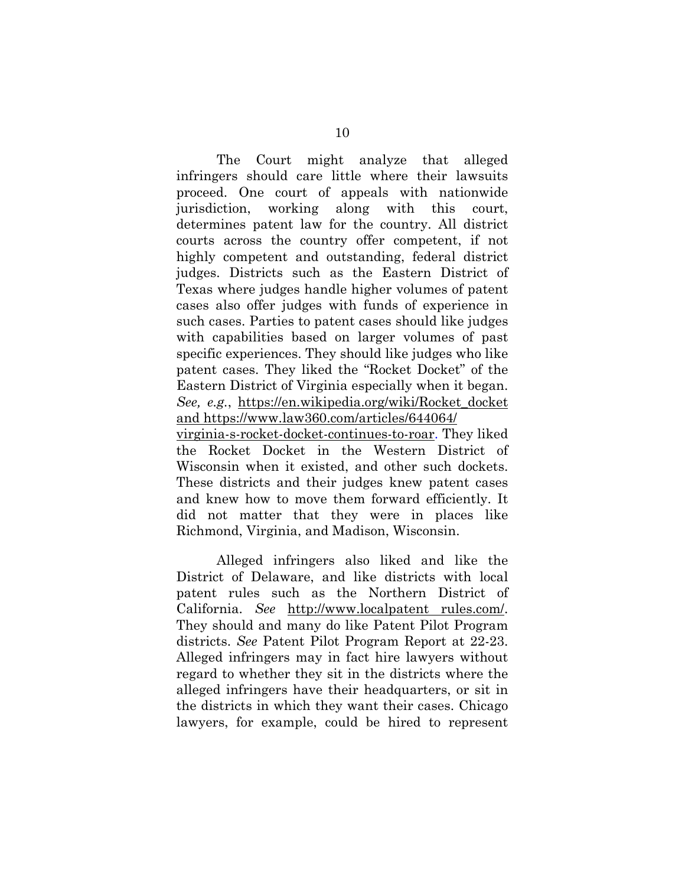The Court might analyze that alleged infringers should care little where their lawsuits proceed. One court of appeals with nationwide jurisdiction, working along with this court, determines patent law for the country. All district courts across the country offer competent, if not highly competent and outstanding, federal district judges. Districts such as the Eastern District of Texas where judges handle higher volumes of patent cases also offer judges with funds of experience in such cases. Parties to patent cases should like judges with capabilities based on larger volumes of past specific experiences. They should like judges who like patent cases. They liked the "Rocket Docket" of the Eastern District of Virginia especially when it began. *See, e.g.*, https://en.wikipedia.org/wiki/Rocket\_docket and https://www.law360.com/articles/644064/ virginia-s-rocket-docket-continues-to-roar. They liked the Rocket Docket in the Western District of

Wisconsin when it existed, and other such dockets. These districts and their judges knew patent cases and knew how to move them forward efficiently. It did not matter that they were in places like Richmond, Virginia, and Madison, Wisconsin.

Alleged infringers also liked and like the District of Delaware, and like districts with local patent rules such as the Northern District of California. *See* http://www.localpatent rules.com/. They should and many do like Patent Pilot Program districts. *See* Patent Pilot Program Report at 22-23. Alleged infringers may in fact hire lawyers without regard to whether they sit in the districts where the alleged infringers have their headquarters, or sit in the districts in which they want their cases. Chicago lawyers, for example, could be hired to represent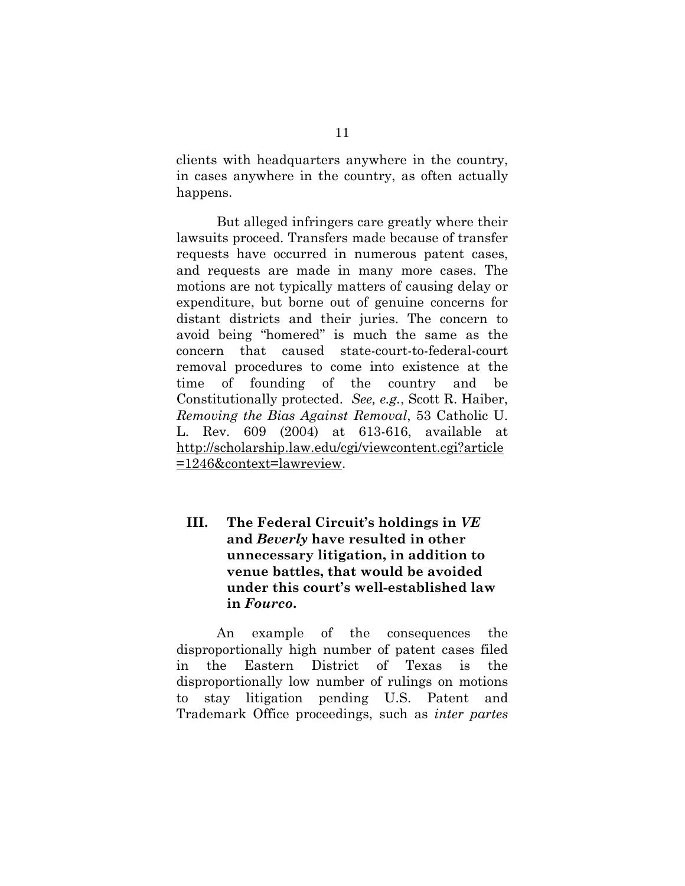clients with headquarters anywhere in the country, in cases anywhere in the country, as often actually happens.

But alleged infringers care greatly where their lawsuits proceed. Transfers made because of transfer requests have occurred in numerous patent cases, and requests are made in many more cases. The motions are not typically matters of causing delay or expenditure, but borne out of genuine concerns for distant districts and their juries. The concern to avoid being "homered" is much the same as the concern that caused state-court-to-federal-court removal procedures to come into existence at the time of founding of the country and be Constitutionally protected. *See, e.g.*, Scott R. Haiber, *Removing the Bias Against Removal*, 53 Catholic U. L. Rev. 609 (2004) at 613-616, available at http://scholarship.law.edu/cgi/viewcontent.cgi?article =1246&context=lawreview.

### **III. The Federal Circuit's holdings in** *VE*  **and** *Beverly* **have resulted in other unnecessary litigation, in addition to venue battles, that would be avoided under this court's well-established law in** *Fourco***.**

An example of the consequences the disproportionally high number of patent cases filed in the Eastern District of Texas is the disproportionally low number of rulings on motions to stay litigation pending U.S. Patent and Trademark Office proceedings, such as *inter partes*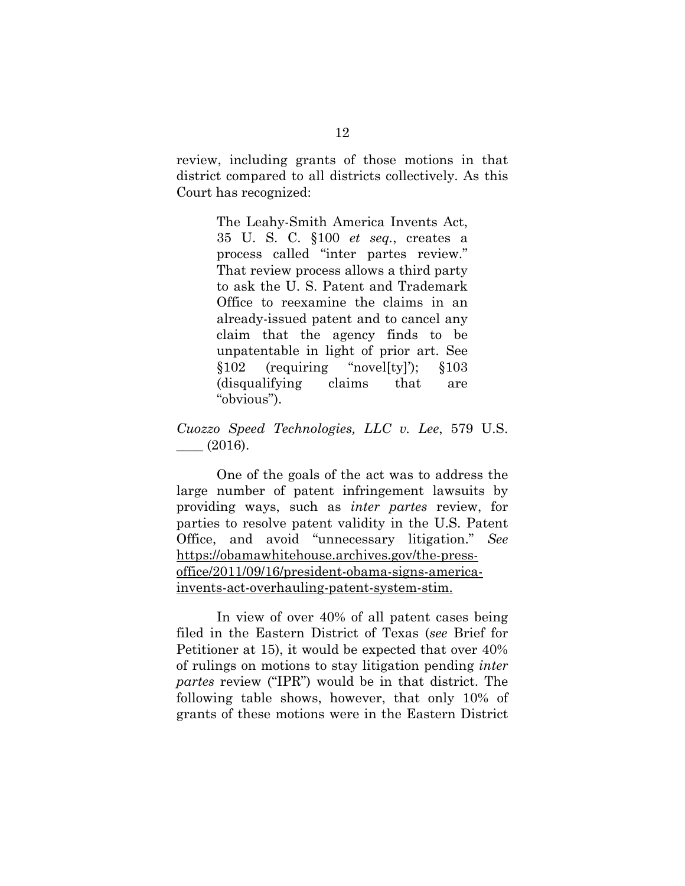review, including grants of those motions in that district compared to all districts collectively. As this Court has recognized:

> The Leahy-Smith America Invents Act, 35 U. S. C. §100 *et seq.*, creates a process called "inter partes review." That review process allows a third party to ask the U. S. Patent and Trademark Office to reexamine the claims in an already-issued patent and to cancel any claim that the agency finds to be unpatentable in light of prior art. See §102 (requiring "novel[ty]'); §103 (disqualifying claims that are "obvious").

*Cuozzo Speed Technologies, LLC v. Lee*, 579 U.S.  $\_\_$  (2016).

One of the goals of the act was to address the large number of patent infringement lawsuits by providing ways, such as *inter partes* review, for parties to resolve patent validity in the U.S. Patent Office, and avoid "unnecessary litigation." *See*  https://obamawhitehouse.archives.gov/the-pressoffice/2011/09/16/president-obama-signs-americainvents-act-overhauling-patent-system-stim.

In view of over 40% of all patent cases being filed in the Eastern District of Texas (*see* Brief for Petitioner at 15), it would be expected that over 40% of rulings on motions to stay litigation pending *inter partes* review ("IPR") would be in that district. The following table shows, however, that only 10% of grants of these motions were in the Eastern District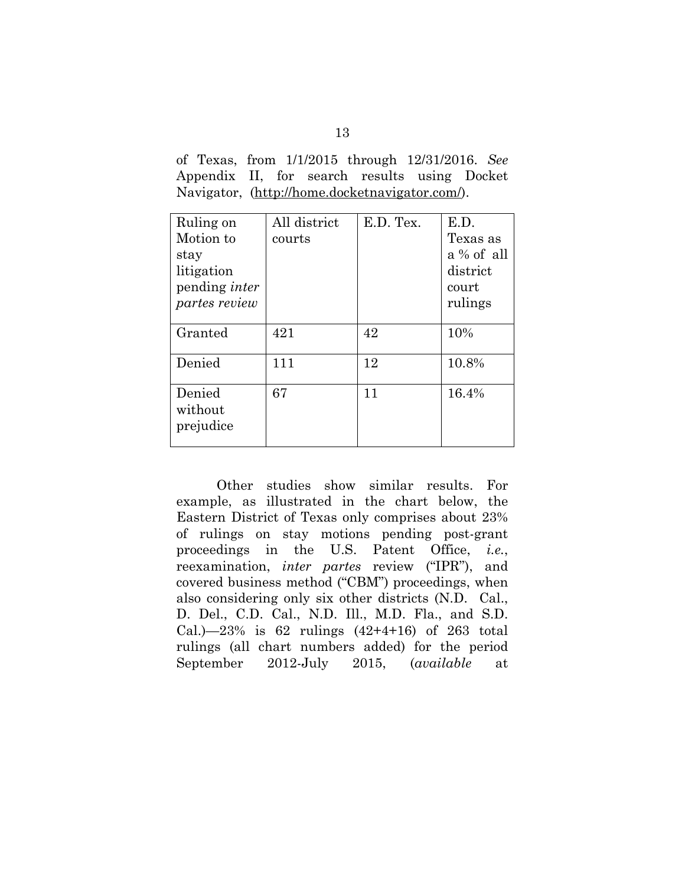of Texas, from 1/1/2015 through 12/31/2016. *See*  Appendix II, for search results using Docket Navigator, (http://home.docketnavigator.com/).

| Ruling on<br>Motion to<br>stay<br>litigation<br>pending <i>inter</i><br><i>partes review</i> | All district<br>courts | E.D. Tex. | E.D.<br>Texas as<br>a % of all<br>district<br>court<br>rulings |
|----------------------------------------------------------------------------------------------|------------------------|-----------|----------------------------------------------------------------|
|                                                                                              |                        |           |                                                                |
| Granted                                                                                      | 421                    | 42        | 10%                                                            |
| Denied                                                                                       | 111                    | 12        | 10.8%                                                          |
| Denied<br>without<br>prejudice                                                               | 67                     | 11        | 16.4%                                                          |

Other studies show similar results. For example, as illustrated in the chart below, the Eastern District of Texas only comprises about 23% of rulings on stay motions pending post-grant proceedings in the U.S. Patent Office, *i.e.*, reexamination, *inter partes* review ("IPR"), and covered business method ("CBM") proceedings, when also considering only six other districts (N.D. Cal., D. Del., C.D. Cal., N.D. Ill., M.D. Fla., and S.D. Cal.)—23% is 62 rulings  $(42+4+16)$  of 263 total rulings (all chart numbers added) for the period September 2012-July 2015, (*available* at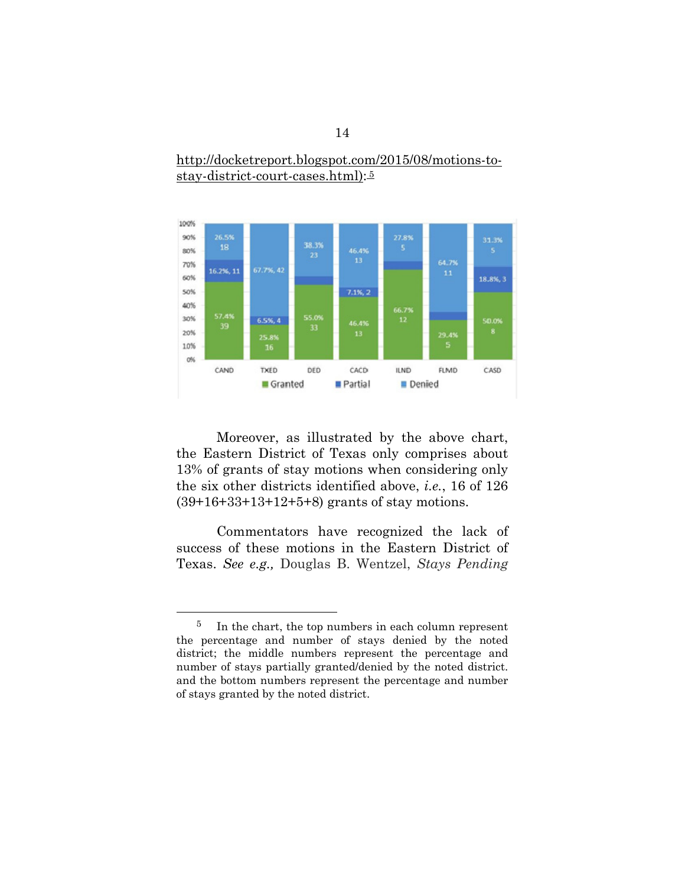

#### http://docketreport.blogspot.com/2015/08/motions-tostay-district-court-cases.html): 5

Moreover, as illustrated by the above chart, the Eastern District of Texas only comprises about 13% of grants of stay motions when considering only the six other districts identified above, *i.e.*, 16 of 126 (39+16+33+13+12+5+8) grants of stay motions.

Commentators have recognized the lack of success of these motions in the Eastern District of Texas. *See e.g.,* Douglas B. Wentzel, *Stays Pending* 

 <sup>5</sup> In the chart, the top numbers in each column represent the percentage and number of stays denied by the noted district; the middle numbers represent the percentage and number of stays partially granted/denied by the noted district. and the bottom numbers represent the percentage and number of stays granted by the noted district.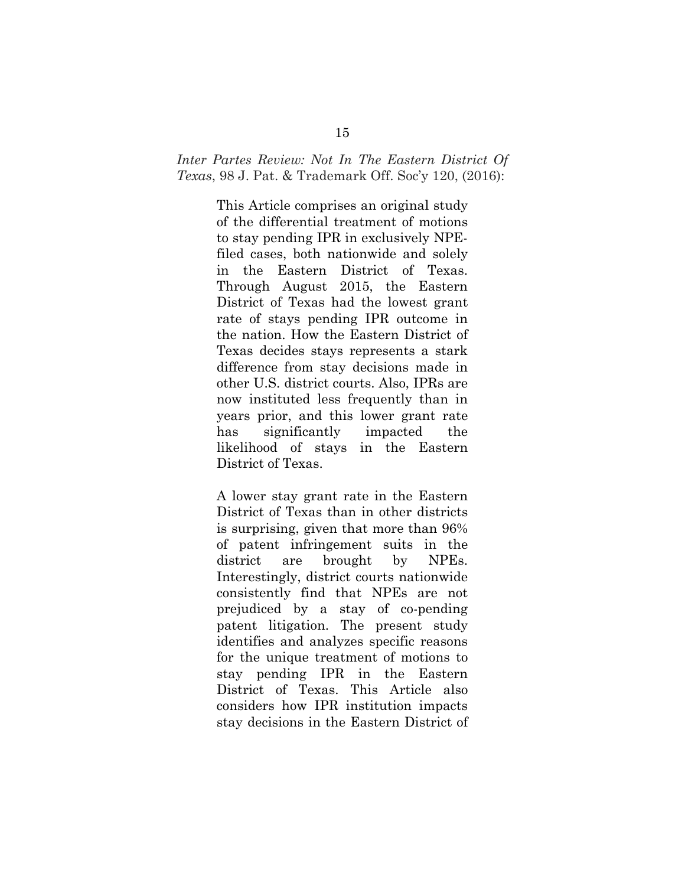*Inter Partes Review: Not In The Eastern District Of Texas*, 98 J. Pat. & Trademark Off. Soc'y 120, (2016):

> This Article comprises an original study of the differential treatment of motions to stay pending IPR in exclusively NPEfiled cases, both nationwide and solely in the Eastern District of Texas. Through August 2015, the Eastern District of Texas had the lowest grant rate of stays pending IPR outcome in the nation. How the Eastern District of Texas decides stays represents a stark difference from stay decisions made in other U.S. district courts. Also, IPRs are now instituted less frequently than in years prior, and this lower grant rate has significantly impacted the likelihood of stays in the Eastern District of Texas.

> A lower stay grant rate in the Eastern District of Texas than in other districts is surprising, given that more than 96% of patent infringement suits in the district are brought by NPEs. Interestingly, district courts nationwide consistently find that NPEs are not prejudiced by a stay of co-pending patent litigation. The present study identifies and analyzes specific reasons for the unique treatment of motions to stay pending IPR in the Eastern District of Texas. This Article also considers how IPR institution impacts stay decisions in the Eastern District of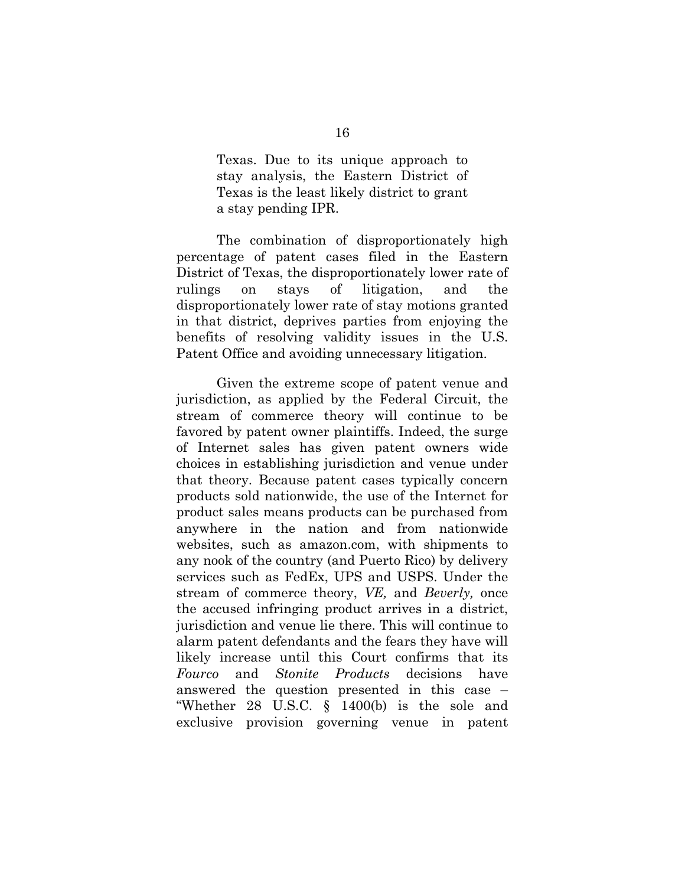Texas. Due to its unique approach to stay analysis, the Eastern District of Texas is the least likely district to grant a stay pending IPR.

The combination of disproportionately high percentage of patent cases filed in the Eastern District of Texas, the disproportionately lower rate of rulings on stays of litigation, and the disproportionately lower rate of stay motions granted in that district, deprives parties from enjoying the benefits of resolving validity issues in the U.S. Patent Office and avoiding unnecessary litigation.

Given the extreme scope of patent venue and jurisdiction, as applied by the Federal Circuit, the stream of commerce theory will continue to be favored by patent owner plaintiffs. Indeed, the surge of Internet sales has given patent owners wide choices in establishing jurisdiction and venue under that theory. Because patent cases typically concern products sold nationwide, the use of the Internet for product sales means products can be purchased from anywhere in the nation and from nationwide websites, such as amazon.com, with shipments to any nook of the country (and Puerto Rico) by delivery services such as FedEx, UPS and USPS. Under the stream of commerce theory, *VE,* and *Beverly,* once the accused infringing product arrives in a district, jurisdiction and venue lie there. This will continue to alarm patent defendants and the fears they have will likely increase until this Court confirms that its *Fourco* and *Stonite Products* decisions have answered the question presented in this case – "Whether 28 U.S.C. § 1400(b) is the sole and exclusive provision governing venue in patent